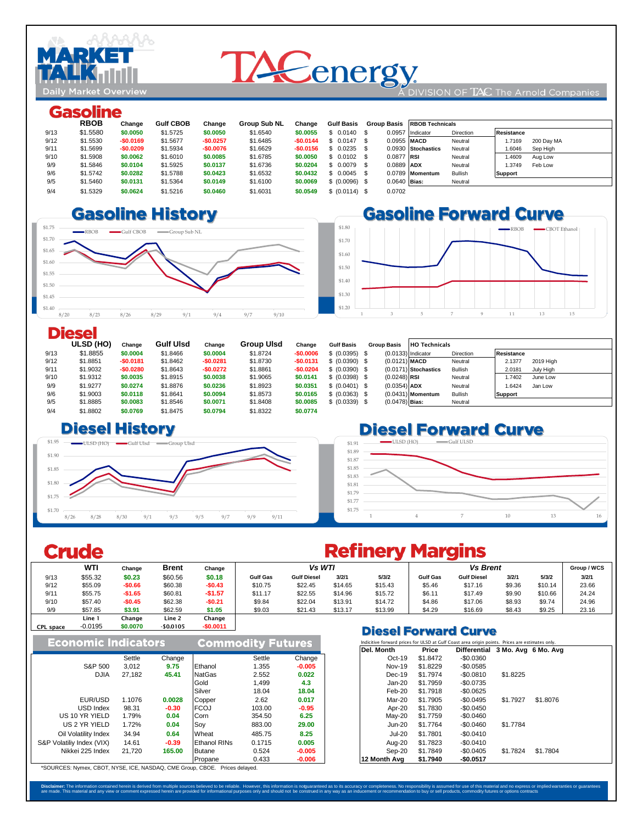

# **TACenergy**

#### DIVISION OF  $TAC$  The Arnold Companies

#### Gasoline

|      | ------------ |            |                  |            |                     |            |                   |                |                        |           |                   |            |  |
|------|--------------|------------|------------------|------------|---------------------|------------|-------------------|----------------|------------------------|-----------|-------------------|------------|--|
|      | <b>RBOB</b>  | Change     | <b>Gulf CBOB</b> | Change     | <b>Group Sub NL</b> | Change     | <b>Gulf Basis</b> | Group Basis    | <b>RBOB Technicals</b> |           |                   |            |  |
| 9/13 | \$1.5580     | \$0,0050   | \$1,5725         | \$0,0050   | \$1,6540            | \$0,0055   | $$0.0140$ \$      | 0.0957         | Indicator              | Direction | <b>Resistance</b> |            |  |
| 9/12 | \$1,5530     | $-$0.0169$ | \$1,5677         | $-$0.0257$ | \$1,6485            | $-$0.0144$ | $$0.0147$ \$      | 0.0955 MACD    |                        | Neutral   | 1.7169            | 200 Day MA |  |
| 9/11 | \$1,5699     | $-$0.0209$ | \$1,5934         | $-$0.0076$ | \$1.6629            | $-$0.0156$ | $$0.0235$ \$      |                | 0.0930 Stochastics     | Neutral   | 1.6046            | Sep High   |  |
| 9/10 | \$1,5908     | \$0,0062   | \$1,6010         | \$0.0085   | \$1.6785            | \$0,0050   | $$0.0102$ \$      | 0.0877 RSI     |                        | Neutral   | 1.4609            | Aug Low    |  |
| 9/9  | \$1,5846     | \$0.0104   | \$1,5925         | \$0.0137   | \$1,6736            | \$0.0204   | $$0.0079$ \$      | 0.0889 ADX     |                        | Neutral   | 1.3749            | Feb Low    |  |
| 9/6  | \$1,5742     | \$0.0282   | \$1,5788         | \$0.0423   | \$1.6532            | \$0.0432   | $$0.0045$ \$      |                | 0.0789 Momentum        | Bullish   | <b>Support</b>    |            |  |
| 9/5  | \$1,5460     | \$0.0131   | \$1.5364         | \$0.0149   | \$1.6100            | \$0,0069   | \$ (0.0096) \$    | $0.0640$ Bias: |                        | Neutral   |                   |            |  |
| 9/4  | \$1,5329     | \$0.0624   | \$1,5216         | \$0.0460   | \$1,6031            | \$0.0549   | \$ (0.0114) \$    | 0.0702         |                        |           |                   |            |  |
|      |              |            |                  |            |                     |            |                   |                |                        |           |                   |            |  |

#### 8/30 \$1.6134 **-\$0.0713 \$1.54 -\$0.0521** \$1.6187 **-\$0.0363 8.69 \$1.699 \$1.699 \$1.699 \$1.682 \$1.699 \$1.6825 \$1.6825 \$1.6825 \$1.6825 \$1.668 \$1.668 \$1.668 \$1.668 \$1.6825.**





#### **Diesel**

|      | <b>ULSD (HO)</b> | Change     | <b>Gulf Ulsd</b> | Change     | <b>Group Ulsd</b> | Change     | <b>Gulf Basis</b> | <b>Group Basis</b>   | <b>HO Technicals</b>   |           |                     |
|------|------------------|------------|------------------|------------|-------------------|------------|-------------------|----------------------|------------------------|-----------|---------------------|
| 9/13 | \$1.8855         | \$0,0004   | \$1,8466         | \$0.0004   | \$1,8724          | $-$0.0006$ | \$ (0.0395) \$    | $(0.0133)$ Indicator |                        | Direction | Resistance          |
| 9/12 | \$1.8851         | $-$0.0181$ | \$1,8462         | $-$0.0281$ | \$1,8730          | $-$0.0131$ | \$ (0.0390) \$    | $(0.0121)$ MACD      |                        | Neutral   | 2.1377<br>2019 High |
| 9/11 | \$1,9032         | $-$0.0280$ | \$1,8643         | $-$0.0272$ | \$1,8861          | $-$0.0204$ | \$ (0.0390) \$    |                      | $(0.0171)$ Stochastics | Bullish   | 2.0181<br>July High |
| 9/10 | \$1.9312         | \$0,0035   | \$1.8915         | \$0.0038   | \$1.9065          | \$0.0141   | \$ (0.0398) \$    | $(0.0248)$ RSI       |                        | Neutral   | .7402<br>June Low   |
| 9/9  | \$1,9277         | \$0.0274   | \$1,8876         | \$0.0236   | \$1.8923          | \$0.0351   | \$ (0.0401) \$    | $(0.0354)$ ADX       |                        | Neutral   | .6424<br>Jan Low    |
| 9/6  | \$1,9003         | \$0,0118   | \$1.8641         | \$0.0094   | \$1,8573          | \$0.0165   | \$ (0.0363) \$    |                      | $(0.0431)$ Momentum    | Bullish   | Support             |
| 9/5  | \$1,8885         | \$0,0083   | \$1,8546         | \$0.0071   | \$1,8408          | \$0.0085   | \$ (0.0339) \$    | $(0.0478)$ Bias:     |                        | Neutral   |                     |
| 9/4  | \$1,8802         | \$0,0769   | \$1,8475         | \$0.0794   | \$1.8322          | \$0.0774   |                   |                      |                        |           |                     |

#### $\square$  **Diesel History**



### **Diesel Forward Curve**



## **Crude**

#### **WTI** Change Brent Change | **Group / WCS** | **Group / WCS** | **Group / WCS** | Group / WCS 9/13 \$55.32 **\$0.23** \$60.56 **\$0.18 Gulf Gas Gulf Diesel 3/2/1 5/3/2 Gulf Gas Gulf Diesel 3/2/1 5/3/2 3/2/1** 9/12 \$55.09 **-\$0.66** \$60.38 **-\$0.43** \$10.75 \$22.45 \$14.65 \$15.43 \$5.46 \$17.16 \$9.36 \$10.14 23.66 9/11 \$55.75 **-\$1.65** \$60.81 **-\$1.57** \$11.17 \$22.55 \$14.96 \$15.72 \$6.11 \$17.49 \$9.90 \$10.66 24.24 9/10 \$57.40 **-\$0.45** \$62.38 **-\$0.21** \$9.84 \$22.04 \$13.91 \$14.72 \$4.86 \$17.06 \$8.93 \$9.74 24.96 9/9 \$57.85 **\$3.91** \$62.59 **\$1.05** \$9.03 \$21.43 \$13.17 \$13.99 \$4.29 \$16.69 \$8.43 \$9.25 23.16 Line 1 Change Line 2 Change -0.0195 **\$0.0070** -\$0.0105 **-\$0.0011 Vs WTI Vs Brent**<br> **Vs Brent**<br> **Gulf Diesel 3/2/1** 5/3/2 Gulf Gas Gulf Diesel CPL space

|                            |        |         |                          |        |          |                                                                                   |               |          | PICSCI FUI WAI U CUI TC |          |  |
|----------------------------|--------|---------|--------------------------|--------|----------|-----------------------------------------------------------------------------------|---------------|----------|-------------------------|----------|--|
| <b>Economic Indicators</b> |        |         | <b>Commodity Futures</b> |        |          | Indicitive forward prices for ULSD at Gulf Coast area origin points. Prices are o |               |          |                         |          |  |
|                            |        |         |                          |        |          |                                                                                   | Del. Month    | Price    | Differential 3 Mo. Ave  |          |  |
|                            | Settle | Change  |                          | Settle | Change   |                                                                                   | $Oct-19$      | \$1,8472 | $-$0.0360$              |          |  |
| S&P 500                    | 3.012  | 9.75    | Ethanol                  | 1.355  | $-0.005$ |                                                                                   | Nov-19        | \$1,8229 | -\$0.0585               |          |  |
| <b>DJIA</b>                | 27.182 | 45.41   | NatGas                   | 2.552  | 0.022    |                                                                                   | Dec-19        | \$1.7974 | $-\$0.0810$             | \$1.8225 |  |
|                            |        |         | Gold                     | 1,499  | 4.3      |                                                                                   | $Jan-20$      | \$1,7959 | $-$0.0735$              |          |  |
|                            |        |         | Silver                   | 18.04  | 18.04    |                                                                                   | Feb-20        | \$1,7918 | $-$0.0625$              |          |  |
| EUR/USD                    | 1.1076 | 0.0028  | Copper                   | 2.62   | 0.017    |                                                                                   | Mar-20        | \$1,7905 | $-$0.0495$              | \$1,7927 |  |
| USD Index                  | 98.31  | $-0.30$ | <b>FCOJ</b>              | 103.00 | $-0.95$  |                                                                                   | Apr-20        | \$1,7830 | -\$0.0450               |          |  |
| US 10 YR YIELD             | 1.79%  | 0.04    | Corn                     | 354.50 | 6.25     |                                                                                   | Mav-20        | \$1,7759 | -\$0.0460               |          |  |
| US 2 YR YIELD              | 1.72%  | 0.04    | Soy                      | 883.00 | 29.00    |                                                                                   | $Jun-20$      | \$1.7764 | $-$0.0460$              | \$1.7784 |  |
| Oil Volatility Index       | 34.94  | 0.64    | Wheat                    | 485.75 | 8.25     |                                                                                   | <b>Jul-20</b> | \$1.7801 | $-$0.0410$              |          |  |
| S&P Volatiliv Index (VIX)  | 14.61  | $-0.39$ | <b>Ethanol RINs</b>      | 0.1715 | 0.005    |                                                                                   | Aug-20        | \$1,7823 | $-$0.0410$              |          |  |
| Nikkei 225 Index           | 21.720 | 165.00  | <b>Butane</b>            | 0.524  | $-0.005$ |                                                                                   | Sep-20        | \$1.7849 | $-$0.0405$              | \$1.7824 |  |
|                            |        |         | Propane                  | 0.433  | $-0.006$ |                                                                                   | 12 Month Ava  | \$1.7940 | $-$0.0517$              |          |  |

## **Refinery Margins**

#### **Diesel Forward Curve**

| <b>ileators</b> |         | Commodity Futures   |        |          | Indicitive forward prices for ULSD at Gulf Coast area origin points. Prices are estimates only. |               |          |                                  |          |          |  |  |  |
|-----------------|---------|---------------------|--------|----------|-------------------------------------------------------------------------------------------------|---------------|----------|----------------------------------|----------|----------|--|--|--|
|                 |         |                     |        |          |                                                                                                 | Del. Month    | Price    | Differential 3 Mo. Avg 6 Mo. Avg |          |          |  |  |  |
| Settle          | Change  |                     | Settle | Change   |                                                                                                 | $Oct-19$      | \$1,8472 | -\$0.0360                        |          |          |  |  |  |
| 3,012           | 9.75    | Ethanol             | 1.355  | $-0.005$ |                                                                                                 | <b>Nov-19</b> | \$1,8229 | -\$0.0585                        |          |          |  |  |  |
| 27.182          | 45.41   | <b>NatGas</b>       | 2.552  | 0.022    |                                                                                                 | $Dec-19$      | \$1.7974 | -\$0.0810                        | \$1,8225 |          |  |  |  |
|                 |         | Gold                | 1,499  | 4.3      |                                                                                                 | $Jan-20$      | \$1,7959 | $-$0.0735$                       |          |          |  |  |  |
|                 |         | Silver              | 18.04  | 18.04    |                                                                                                 | Feb-20        | \$1,7918 | $-$0.0625$                       |          |          |  |  |  |
| 1.1076          | 0.0028  | Copper              | 2.62   | 0.017    |                                                                                                 | Mar-20        | \$1,7905 | $-$0.0495$                       | \$1.7927 | \$1,8076 |  |  |  |
| 98.31           | $-0.30$ | <b>FCOJ</b>         | 103.00 | $-0.95$  |                                                                                                 | Apr-20        | \$1,7830 | $-$0.0450$                       |          |          |  |  |  |
| 1.79%           | 0.04    | Corn                | 354.50 | 6.25     |                                                                                                 | Mav-20        | \$1,7759 | $-$0.0460$                       |          |          |  |  |  |
| 1.72%           | 0.04    | .Sov                | 883.00 | 29.00    |                                                                                                 | $Jun-20$      | \$1,7764 | $-$0.0460$                       | \$1,7784 |          |  |  |  |
| 34.94           | 0.64    | Wheat               | 485.75 | 8.25     |                                                                                                 | <b>Jul-20</b> | \$1.7801 | $-$0.0410$                       |          |          |  |  |  |
| 14.61           | $-0.39$ | <b>Ethanol RINs</b> | 0.1715 | 0.005    |                                                                                                 | Aug-20        | \$1.7823 | $-$0.0410$                       |          |          |  |  |  |
| 21.720          | 165.00  | <b>Butane</b>       | 0.524  | $-0.005$ |                                                                                                 | Sep-20        | \$1.7849 | -\$0.0405                        | \$1.7824 | \$1.7804 |  |  |  |
|                 |         | Propane             | 0.433  | $-0.006$ |                                                                                                 | 12 Month Ava  | \$1.7940 | $-$0.0517$                       |          |          |  |  |  |

\*SOURCES: Nymex, CBOT, NYSE, ICE, NASDAQ, CME Group, CBOE. Prices delayed.

Disclaimer: The information contained herein is derived from multiple sources believed to be reliable. However, this information is notgaranted as to its accuracy or completeness. No responsibility is assumed for exponsion